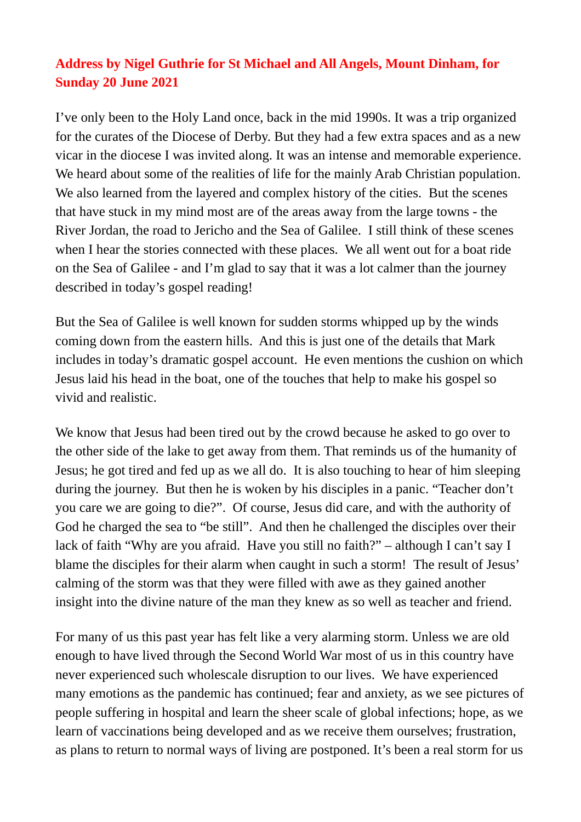## **Address by Nigel Guthrie for St Michael and All Angels, Mount Dinham, for Sunday 20 June 2021**

I've only been to the Holy Land once, back in the mid 1990s. It was a trip organized for the curates of the Diocese of Derby. But they had a few extra spaces and as a new vicar in the diocese I was invited along. It was an intense and memorable experience. We heard about some of the realities of life for the mainly Arab Christian population. We also learned from the layered and complex history of the cities. But the scenes that have stuck in my mind most are of the areas away from the large towns - the River Jordan, the road to Jericho and the Sea of Galilee. I still think of these scenes when I hear the stories connected with these places. We all went out for a boat ride on the Sea of Galilee - and I'm glad to say that it was a lot calmer than the journey described in today's gospel reading!

But the Sea of Galilee is well known for sudden storms whipped up by the winds coming down from the eastern hills. And this is just one of the details that Mark includes in today's dramatic gospel account. He even mentions the cushion on which Jesus laid his head in the boat, one of the touches that help to make his gospel so vivid and realistic.

We know that Jesus had been tired out by the crowd because he asked to go over to the other side of the lake to get away from them. That reminds us of the humanity of Jesus; he got tired and fed up as we all do. It is also touching to hear of him sleeping during the journey. But then he is woken by his disciples in a panic. "Teacher don't you care we are going to die?". Of course, Jesus did care, and with the authority of God he charged the sea to "be still". And then he challenged the disciples over their lack of faith "Why are you afraid. Have you still no faith?" – although I can't say I blame the disciples for their alarm when caught in such a storm! The result of Jesus' calming of the storm was that they were filled with awe as they gained another insight into the divine nature of the man they knew as so well as teacher and friend.

For many of us this past year has felt like a very alarming storm. Unless we are old enough to have lived through the Second World War most of us in this country have never experienced such wholescale disruption to our lives. We have experienced many emotions as the pandemic has continued; fear and anxiety, as we see pictures of people suffering in hospital and learn the sheer scale of global infections; hope, as we learn of vaccinations being developed and as we receive them ourselves; frustration, as plans to return to normal ways of living are postponed. It's been a real storm for us